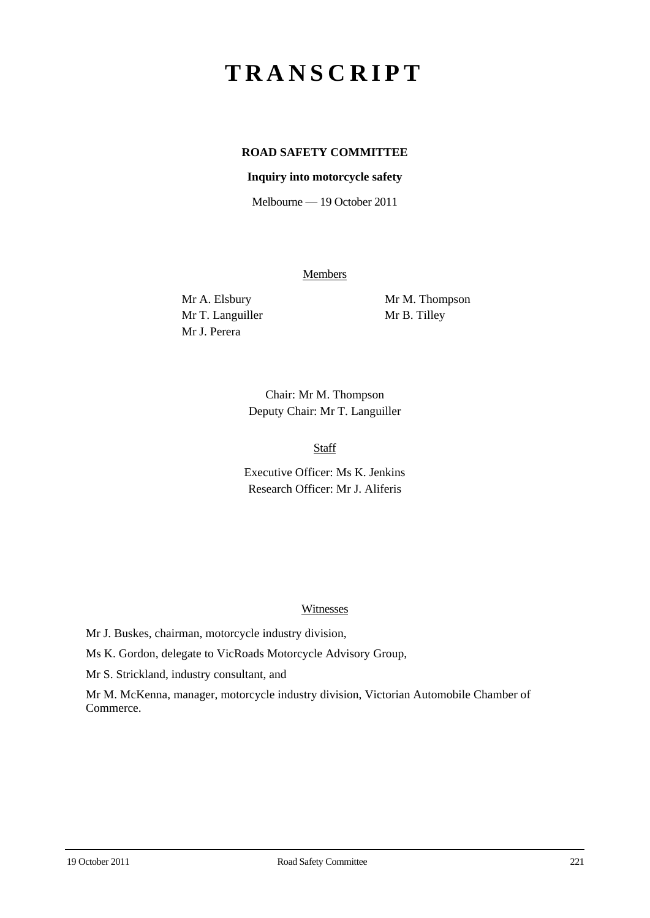# **TRANSCRIPT**

## **ROAD SAFETY COMMITTEE**

## **Inquiry into motorcycle safety**

Melbourne — 19 October 2011

Members

Mr T. Languiller Mr B. Tilley Mr J. Perera

Mr A. Elsbury Mr M. Thompson

Chair: Mr M. Thompson Deputy Chair: Mr T. Languiller

Staff

Executive Officer: Ms K. Jenkins Research Officer: Mr J. Aliferis

#### Witnesses

Mr J. Buskes, chairman, motorcycle industry division,

Ms K. Gordon, delegate to VicRoads Motorcycle Advisory Group,

Mr S. Strickland, industry consultant, and

Mr M. McKenna, manager, motorcycle industry division, Victorian Automobile Chamber of Commerce.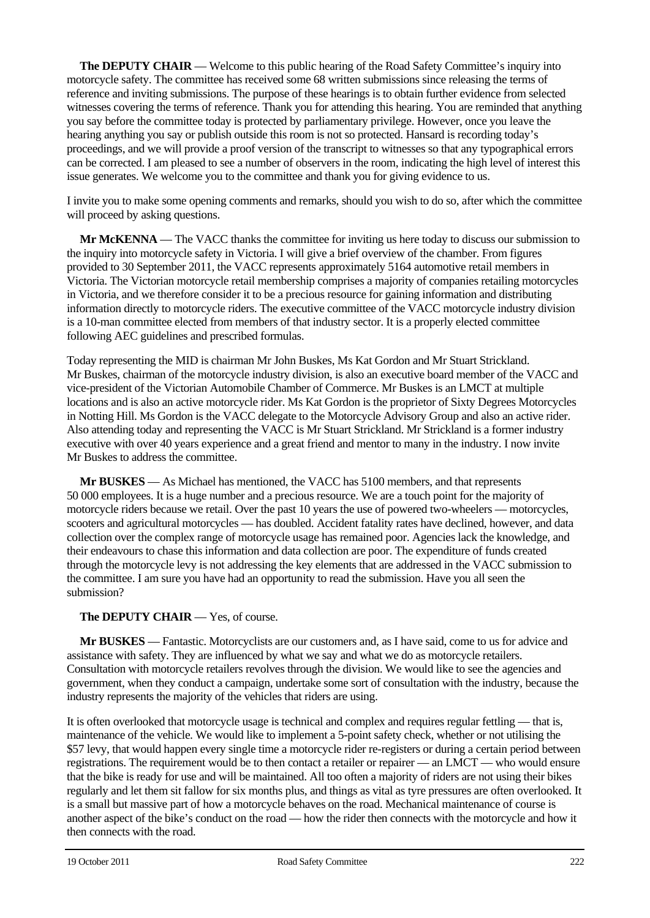**The DEPUTY CHAIR** — Welcome to this public hearing of the Road Safety Committee's inquiry into motorcycle safety. The committee has received some 68 written submissions since releasing the terms of reference and inviting submissions. The purpose of these hearings is to obtain further evidence from selected witnesses covering the terms of reference. Thank you for attending this hearing. You are reminded that anything you say before the committee today is protected by parliamentary privilege. However, once you leave the hearing anything you say or publish outside this room is not so protected. Hansard is recording today's proceedings, and we will provide a proof version of the transcript to witnesses so that any typographical errors can be corrected. I am pleased to see a number of observers in the room, indicating the high level of interest this issue generates. We welcome you to the committee and thank you for giving evidence to us.

I invite you to make some opening comments and remarks, should you wish to do so, after which the committee will proceed by asking questions.

**Mr McKENNA** — The VACC thanks the committee for inviting us here today to discuss our submission to the inquiry into motorcycle safety in Victoria. I will give a brief overview of the chamber. From figures provided to 30 September 2011, the VACC represents approximately 5164 automotive retail members in Victoria. The Victorian motorcycle retail membership comprises a majority of companies retailing motorcycles in Victoria, and we therefore consider it to be a precious resource for gaining information and distributing information directly to motorcycle riders. The executive committee of the VACC motorcycle industry division is a 10-man committee elected from members of that industry sector. It is a properly elected committee following AEC guidelines and prescribed formulas.

Today representing the MID is chairman Mr John Buskes, Ms Kat Gordon and Mr Stuart Strickland. Mr Buskes, chairman of the motorcycle industry division, is also an executive board member of the VACC and vice-president of the Victorian Automobile Chamber of Commerce. Mr Buskes is an LMCT at multiple locations and is also an active motorcycle rider. Ms Kat Gordon is the proprietor of Sixty Degrees Motorcycles in Notting Hill. Ms Gordon is the VACC delegate to the Motorcycle Advisory Group and also an active rider. Also attending today and representing the VACC is Mr Stuart Strickland. Mr Strickland is a former industry executive with over 40 years experience and a great friend and mentor to many in the industry. I now invite Mr Buskes to address the committee.

**Mr BUSKES** — As Michael has mentioned, the VACC has 5100 members, and that represents 50 000 employees. It is a huge number and a precious resource. We are a touch point for the majority of motorcycle riders because we retail. Over the past 10 years the use of powered two-wheelers — motorcycles, scooters and agricultural motorcycles — has doubled. Accident fatality rates have declined, however, and data collection over the complex range of motorcycle usage has remained poor. Agencies lack the knowledge, and their endeavours to chase this information and data collection are poor. The expenditure of funds created through the motorcycle levy is not addressing the key elements that are addressed in the VACC submission to the committee. I am sure you have had an opportunity to read the submission. Have you all seen the submission?

## **The DEPUTY CHAIR** — Yes, of course.

**Mr BUSKES** — Fantastic. Motorcyclists are our customers and, as I have said, come to us for advice and assistance with safety. They are influenced by what we say and what we do as motorcycle retailers. Consultation with motorcycle retailers revolves through the division. We would like to see the agencies and government, when they conduct a campaign, undertake some sort of consultation with the industry, because the industry represents the majority of the vehicles that riders are using.

It is often overlooked that motorcycle usage is technical and complex and requires regular fettling — that is, maintenance of the vehicle. We would like to implement a 5-point safety check, whether or not utilising the \$57 levy, that would happen every single time a motorcycle rider re-registers or during a certain period between registrations. The requirement would be to then contact a retailer or repairer — an LMCT — who would ensure that the bike is ready for use and will be maintained. All too often a majority of riders are not using their bikes regularly and let them sit fallow for six months plus, and things as vital as tyre pressures are often overlooked. It is a small but massive part of how a motorcycle behaves on the road. Mechanical maintenance of course is another aspect of the bike's conduct on the road — how the rider then connects with the motorcycle and how it then connects with the road.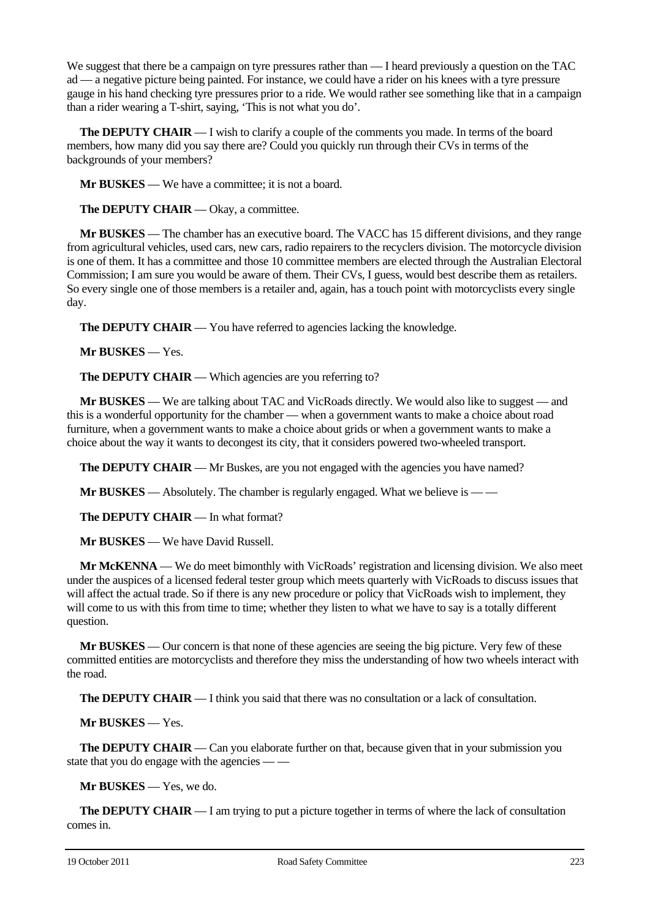We suggest that there be a campaign on tyre pressures rather than — I heard previously a question on the TAC ad — a negative picture being painted. For instance, we could have a rider on his knees with a tyre pressure gauge in his hand checking tyre pressures prior to a ride. We would rather see something like that in a campaign than a rider wearing a T-shirt, saying, 'This is not what you do'.

**The DEPUTY CHAIR** — I wish to clarify a couple of the comments you made. In terms of the board members, how many did you say there are? Could you quickly run through their CVs in terms of the backgrounds of your members?

**Mr BUSKES** — We have a committee; it is not a board.

**The DEPUTY CHAIR** — Okay, a committee.

**Mr BUSKES** — The chamber has an executive board. The VACC has 15 different divisions, and they range from agricultural vehicles, used cars, new cars, radio repairers to the recyclers division. The motorcycle division is one of them. It has a committee and those 10 committee members are elected through the Australian Electoral Commission; I am sure you would be aware of them. Their CVs, I guess, would best describe them as retailers. So every single one of those members is a retailer and, again, has a touch point with motorcyclists every single day.

**The DEPUTY CHAIR** — You have referred to agencies lacking the knowledge.

**Mr BUSKES** — Yes.

**The DEPUTY CHAIR** — Which agencies are you referring to?

**Mr BUSKES** — We are talking about TAC and VicRoads directly. We would also like to suggest — and this is a wonderful opportunity for the chamber — when a government wants to make a choice about road furniture, when a government wants to make a choice about grids or when a government wants to make a choice about the way it wants to decongest its city, that it considers powered two-wheeled transport.

**The DEPUTY CHAIR** — Mr Buskes, are you not engaged with the agencies you have named?

**Mr BUSKES** — Absolutely. The chamber is regularly engaged. What we believe is — —

**The DEPUTY CHAIR** — In what format?

**Mr BUSKES** — We have David Russell.

**Mr McKENNA** — We do meet bimonthly with VicRoads' registration and licensing division. We also meet under the auspices of a licensed federal tester group which meets quarterly with VicRoads to discuss issues that will affect the actual trade. So if there is any new procedure or policy that VicRoads wish to implement, they will come to us with this from time to time; whether they listen to what we have to say is a totally different question.

**Mr BUSKES** — Our concern is that none of these agencies are seeing the big picture. Very few of these committed entities are motorcyclists and therefore they miss the understanding of how two wheels interact with the road.

**The DEPUTY CHAIR** — I think you said that there was no consultation or a lack of consultation.

**Mr BUSKES** — Yes.

**The DEPUTY CHAIR** — Can you elaborate further on that, because given that in your submission you state that you do engage with the agencies — —

**Mr BUSKES** — Yes, we do.

**The DEPUTY CHAIR** — I am trying to put a picture together in terms of where the lack of consultation comes in.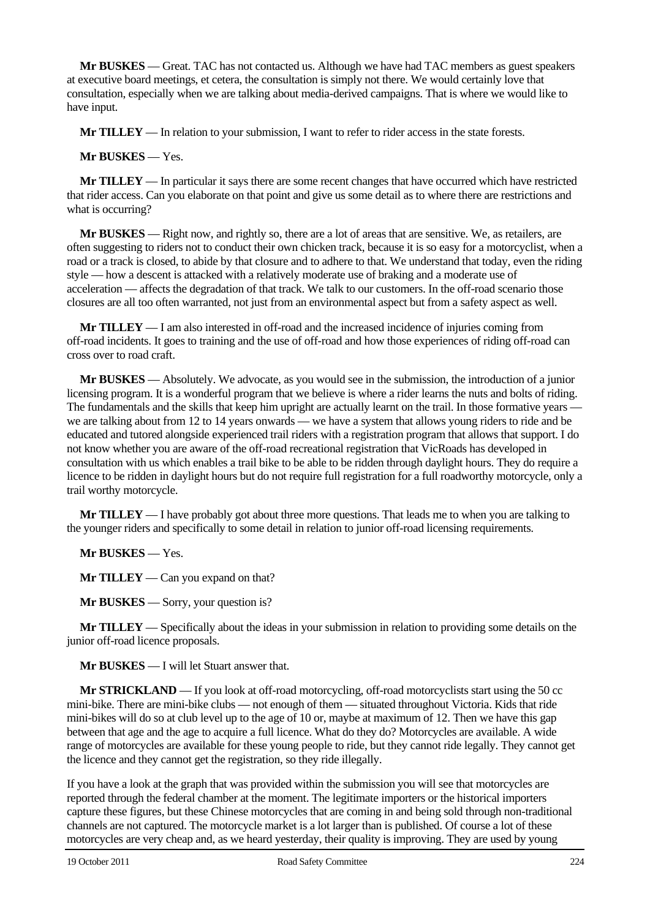**Mr BUSKES** — Great. TAC has not contacted us. Although we have had TAC members as guest speakers at executive board meetings, et cetera, the consultation is simply not there. We would certainly love that consultation, especially when we are talking about media-derived campaigns. That is where we would like to have input.

**Mr TILLEY** — In relation to your submission, I want to refer to rider access in the state forests.

## **Mr BUSKES** — Yes.

**Mr TILLEY** — In particular it says there are some recent changes that have occurred which have restricted that rider access. Can you elaborate on that point and give us some detail as to where there are restrictions and what is occurring?

**Mr BUSKES** — Right now, and rightly so, there are a lot of areas that are sensitive. We, as retailers, are often suggesting to riders not to conduct their own chicken track, because it is so easy for a motorcyclist, when a road or a track is closed, to abide by that closure and to adhere to that. We understand that today, even the riding style — how a descent is attacked with a relatively moderate use of braking and a moderate use of acceleration — affects the degradation of that track. We talk to our customers. In the off-road scenario those closures are all too often warranted, not just from an environmental aspect but from a safety aspect as well.

**Mr TILLEY** — I am also interested in off-road and the increased incidence of injuries coming from off-road incidents. It goes to training and the use of off-road and how those experiences of riding off-road can cross over to road craft.

**Mr BUSKES** — Absolutely. We advocate, as you would see in the submission, the introduction of a junior licensing program. It is a wonderful program that we believe is where a rider learns the nuts and bolts of riding. The fundamentals and the skills that keep him upright are actually learnt on the trail. In those formative years we are talking about from 12 to 14 years onwards — we have a system that allows young riders to ride and be educated and tutored alongside experienced trail riders with a registration program that allows that support. I do not know whether you are aware of the off-road recreational registration that VicRoads has developed in consultation with us which enables a trail bike to be able to be ridden through daylight hours. They do require a licence to be ridden in daylight hours but do not require full registration for a full roadworthy motorcycle, only a trail worthy motorcycle.

**Mr TILLEY** — I have probably got about three more questions. That leads me to when you are talking to the younger riders and specifically to some detail in relation to junior off-road licensing requirements.

**Mr BUSKES** — Yes.

**Mr TILLEY** — Can you expand on that?

**Mr BUSKES** — Sorry, your question is?

**Mr TILLEY** — Specifically about the ideas in your submission in relation to providing some details on the junior off-road licence proposals.

**Mr BUSKES** — I will let Stuart answer that.

**Mr STRICKLAND** — If you look at off-road motorcycling, off-road motorcyclists start using the 50 cc mini-bike. There are mini-bike clubs — not enough of them — situated throughout Victoria. Kids that ride mini-bikes will do so at club level up to the age of 10 or, maybe at maximum of 12. Then we have this gap between that age and the age to acquire a full licence. What do they do? Motorcycles are available. A wide range of motorcycles are available for these young people to ride, but they cannot ride legally. They cannot get the licence and they cannot get the registration, so they ride illegally.

If you have a look at the graph that was provided within the submission you will see that motorcycles are reported through the federal chamber at the moment. The legitimate importers or the historical importers capture these figures, but these Chinese motorcycles that are coming in and being sold through non-traditional channels are not captured. The motorcycle market is a lot larger than is published. Of course a lot of these motorcycles are very cheap and, as we heard yesterday, their quality is improving. They are used by young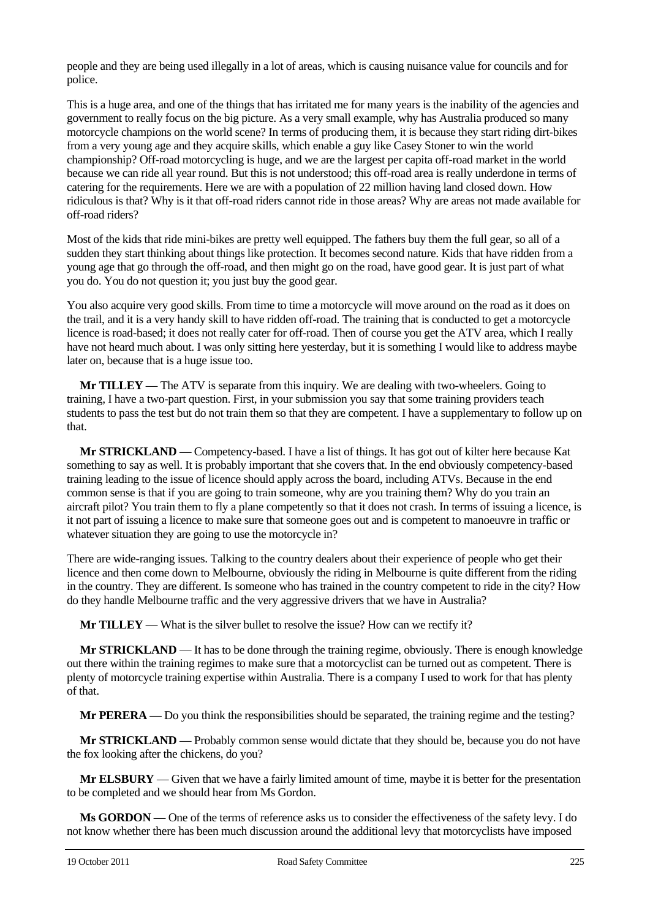people and they are being used illegally in a lot of areas, which is causing nuisance value for councils and for police.

This is a huge area, and one of the things that has irritated me for many years is the inability of the agencies and government to really focus on the big picture. As a very small example, why has Australia produced so many motorcycle champions on the world scene? In terms of producing them, it is because they start riding dirt-bikes from a very young age and they acquire skills, which enable a guy like Casey Stoner to win the world championship? Off-road motorcycling is huge, and we are the largest per capita off-road market in the world because we can ride all year round. But this is not understood; this off-road area is really underdone in terms of catering for the requirements. Here we are with a population of 22 million having land closed down. How ridiculous is that? Why is it that off-road riders cannot ride in those areas? Why are areas not made available for off-road riders?

Most of the kids that ride mini-bikes are pretty well equipped. The fathers buy them the full gear, so all of a sudden they start thinking about things like protection. It becomes second nature. Kids that have ridden from a young age that go through the off-road, and then might go on the road, have good gear. It is just part of what you do. You do not question it; you just buy the good gear.

You also acquire very good skills. From time to time a motorcycle will move around on the road as it does on the trail, and it is a very handy skill to have ridden off-road. The training that is conducted to get a motorcycle licence is road-based; it does not really cater for off-road. Then of course you get the ATV area, which I really have not heard much about. I was only sitting here yesterday, but it is something I would like to address maybe later on, because that is a huge issue too.

**Mr TILLEY** — The ATV is separate from this inquiry. We are dealing with two-wheelers. Going to training, I have a two-part question. First, in your submission you say that some training providers teach students to pass the test but do not train them so that they are competent. I have a supplementary to follow up on that.

**Mr STRICKLAND** — Competency-based. I have a list of things. It has got out of kilter here because Kat something to say as well. It is probably important that she covers that. In the end obviously competency-based training leading to the issue of licence should apply across the board, including ATVs. Because in the end common sense is that if you are going to train someone, why are you training them? Why do you train an aircraft pilot? You train them to fly a plane competently so that it does not crash. In terms of issuing a licence, is it not part of issuing a licence to make sure that someone goes out and is competent to manoeuvre in traffic or whatever situation they are going to use the motorcycle in?

There are wide-ranging issues. Talking to the country dealers about their experience of people who get their licence and then come down to Melbourne, obviously the riding in Melbourne is quite different from the riding in the country. They are different. Is someone who has trained in the country competent to ride in the city? How do they handle Melbourne traffic and the very aggressive drivers that we have in Australia?

**Mr TILLEY** — What is the silver bullet to resolve the issue? How can we rectify it?

**Mr STRICKLAND** — It has to be done through the training regime, obviously. There is enough knowledge out there within the training regimes to make sure that a motorcyclist can be turned out as competent. There is plenty of motorcycle training expertise within Australia. There is a company I used to work for that has plenty of that.

**Mr PERERA** — Do you think the responsibilities should be separated, the training regime and the testing?

**Mr STRICKLAND** — Probably common sense would dictate that they should be, because you do not have the fox looking after the chickens, do you?

**Mr ELSBURY** — Given that we have a fairly limited amount of time, maybe it is better for the presentation to be completed and we should hear from Ms Gordon.

**Ms GORDON** — One of the terms of reference asks us to consider the effectiveness of the safety levy. I do not know whether there has been much discussion around the additional levy that motorcyclists have imposed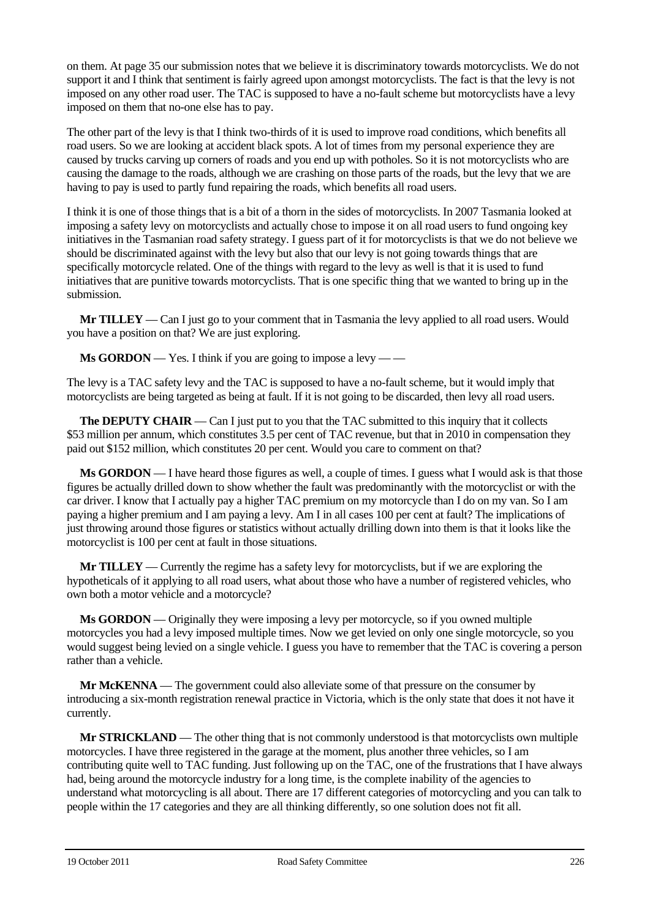on them. At page 35 our submission notes that we believe it is discriminatory towards motorcyclists. We do not support it and I think that sentiment is fairly agreed upon amongst motorcyclists. The fact is that the levy is not imposed on any other road user. The TAC is supposed to have a no-fault scheme but motorcyclists have a levy imposed on them that no-one else has to pay.

The other part of the levy is that I think two-thirds of it is used to improve road conditions, which benefits all road users. So we are looking at accident black spots. A lot of times from my personal experience they are caused by trucks carving up corners of roads and you end up with potholes. So it is not motorcyclists who are causing the damage to the roads, although we are crashing on those parts of the roads, but the levy that we are having to pay is used to partly fund repairing the roads, which benefits all road users.

I think it is one of those things that is a bit of a thorn in the sides of motorcyclists. In 2007 Tasmania looked at imposing a safety levy on motorcyclists and actually chose to impose it on all road users to fund ongoing key initiatives in the Tasmanian road safety strategy. I guess part of it for motorcyclists is that we do not believe we should be discriminated against with the levy but also that our levy is not going towards things that are specifically motorcycle related. One of the things with regard to the levy as well is that it is used to fund initiatives that are punitive towards motorcyclists. That is one specific thing that we wanted to bring up in the submission.

**Mr TILLEY** — Can I just go to your comment that in Tasmania the levy applied to all road users. Would you have a position on that? We are just exploring.

**Ms GORDON** — Yes. I think if you are going to impose a levy — —

The levy is a TAC safety levy and the TAC is supposed to have a no-fault scheme, but it would imply that motorcyclists are being targeted as being at fault. If it is not going to be discarded, then levy all road users.

**The DEPUTY CHAIR** — Can I just put to you that the TAC submitted to this inquiry that it collects \$53 million per annum, which constitutes 3.5 per cent of TAC revenue, but that in 2010 in compensation they paid out \$152 million, which constitutes 20 per cent. Would you care to comment on that?

**Ms GORDON** — I have heard those figures as well, a couple of times. I guess what I would ask is that those figures be actually drilled down to show whether the fault was predominantly with the motorcyclist or with the car driver. I know that I actually pay a higher TAC premium on my motorcycle than I do on my van. So I am paying a higher premium and I am paying a levy. Am I in all cases 100 per cent at fault? The implications of just throwing around those figures or statistics without actually drilling down into them is that it looks like the motorcyclist is 100 per cent at fault in those situations.

**Mr TILLEY** — Currently the regime has a safety levy for motorcyclists, but if we are exploring the hypotheticals of it applying to all road users, what about those who have a number of registered vehicles, who own both a motor vehicle and a motorcycle?

**Ms GORDON** — Originally they were imposing a levy per motorcycle, so if you owned multiple motorcycles you had a levy imposed multiple times. Now we get levied on only one single motorcycle, so you would suggest being levied on a single vehicle. I guess you have to remember that the TAC is covering a person rather than a vehicle.

**Mr McKENNA** — The government could also alleviate some of that pressure on the consumer by introducing a six-month registration renewal practice in Victoria, which is the only state that does it not have it currently.

**Mr STRICKLAND** — The other thing that is not commonly understood is that motorcyclists own multiple motorcycles. I have three registered in the garage at the moment, plus another three vehicles, so I am contributing quite well to TAC funding. Just following up on the TAC, one of the frustrations that I have always had, being around the motorcycle industry for a long time, is the complete inability of the agencies to understand what motorcycling is all about. There are 17 different categories of motorcycling and you can talk to people within the 17 categories and they are all thinking differently, so one solution does not fit all.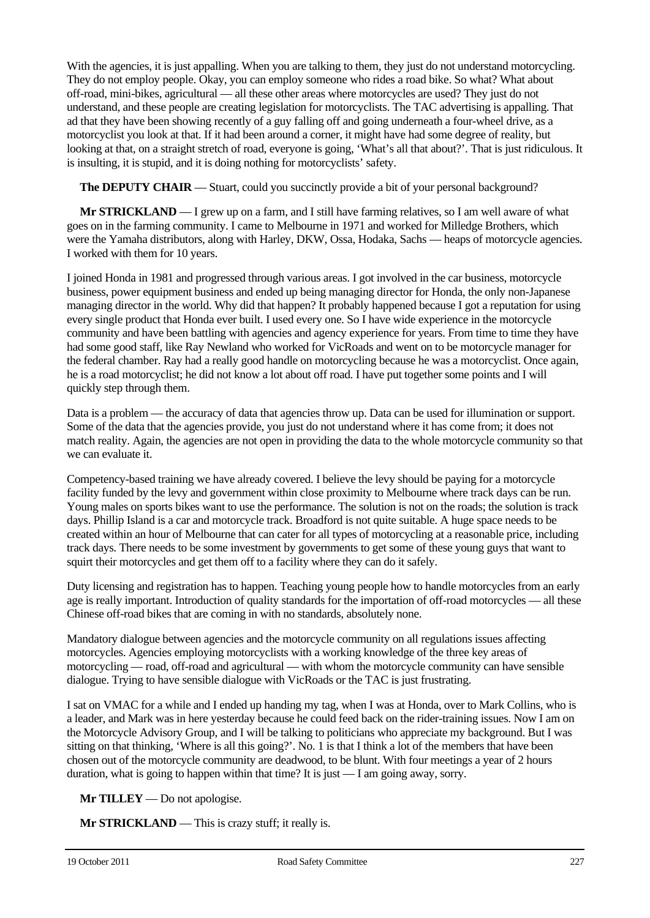With the agencies, it is just appalling. When you are talking to them, they just do not understand motorcycling. They do not employ people. Okay, you can employ someone who rides a road bike. So what? What about off-road, mini-bikes, agricultural — all these other areas where motorcycles are used? They just do not understand, and these people are creating legislation for motorcyclists. The TAC advertising is appalling. That ad that they have been showing recently of a guy falling off and going underneath a four-wheel drive, as a motorcyclist you look at that. If it had been around a corner, it might have had some degree of reality, but looking at that, on a straight stretch of road, everyone is going, 'What's all that about?'. That is just ridiculous. It is insulting, it is stupid, and it is doing nothing for motorcyclists' safety.

**The DEPUTY CHAIR** — Stuart, could you succinctly provide a bit of your personal background?

**Mr STRICKLAND** — I grew up on a farm, and I still have farming relatives, so I am well aware of what goes on in the farming community. I came to Melbourne in 1971 and worked for Milledge Brothers, which were the Yamaha distributors, along with Harley, DKW, Ossa, Hodaka, Sachs — heaps of motorcycle agencies. I worked with them for 10 years.

I joined Honda in 1981 and progressed through various areas. I got involved in the car business, motorcycle business, power equipment business and ended up being managing director for Honda, the only non-Japanese managing director in the world. Why did that happen? It probably happened because I got a reputation for using every single product that Honda ever built. I used every one. So I have wide experience in the motorcycle community and have been battling with agencies and agency experience for years. From time to time they have had some good staff, like Ray Newland who worked for VicRoads and went on to be motorcycle manager for the federal chamber. Ray had a really good handle on motorcycling because he was a motorcyclist. Once again, he is a road motorcyclist; he did not know a lot about off road. I have put together some points and I will quickly step through them.

Data is a problem — the accuracy of data that agencies throw up. Data can be used for illumination or support. Some of the data that the agencies provide, you just do not understand where it has come from; it does not match reality. Again, the agencies are not open in providing the data to the whole motorcycle community so that we can evaluate it.

Competency-based training we have already covered. I believe the levy should be paying for a motorcycle facility funded by the levy and government within close proximity to Melbourne where track days can be run. Young males on sports bikes want to use the performance. The solution is not on the roads; the solution is track days. Phillip Island is a car and motorcycle track. Broadford is not quite suitable. A huge space needs to be created within an hour of Melbourne that can cater for all types of motorcycling at a reasonable price, including track days. There needs to be some investment by governments to get some of these young guys that want to squirt their motorcycles and get them off to a facility where they can do it safely.

Duty licensing and registration has to happen. Teaching young people how to handle motorcycles from an early age is really important. Introduction of quality standards for the importation of off-road motorcycles — all these Chinese off-road bikes that are coming in with no standards, absolutely none.

Mandatory dialogue between agencies and the motorcycle community on all regulations issues affecting motorcycles. Agencies employing motorcyclists with a working knowledge of the three key areas of motorcycling — road, off-road and agricultural — with whom the motorcycle community can have sensible dialogue. Trying to have sensible dialogue with VicRoads or the TAC is just frustrating.

I sat on VMAC for a while and I ended up handing my tag, when I was at Honda, over to Mark Collins, who is a leader, and Mark was in here yesterday because he could feed back on the rider-training issues. Now I am on the Motorcycle Advisory Group, and I will be talking to politicians who appreciate my background. But I was sitting on that thinking, 'Where is all this going?'. No. 1 is that I think a lot of the members that have been chosen out of the motorcycle community are deadwood, to be blunt. With four meetings a year of 2 hours duration, what is going to happen within that time? It is just — I am going away, sorry.

**Mr TILLEY** — Do not apologise.

**Mr STRICKLAND** — This is crazy stuff; it really is.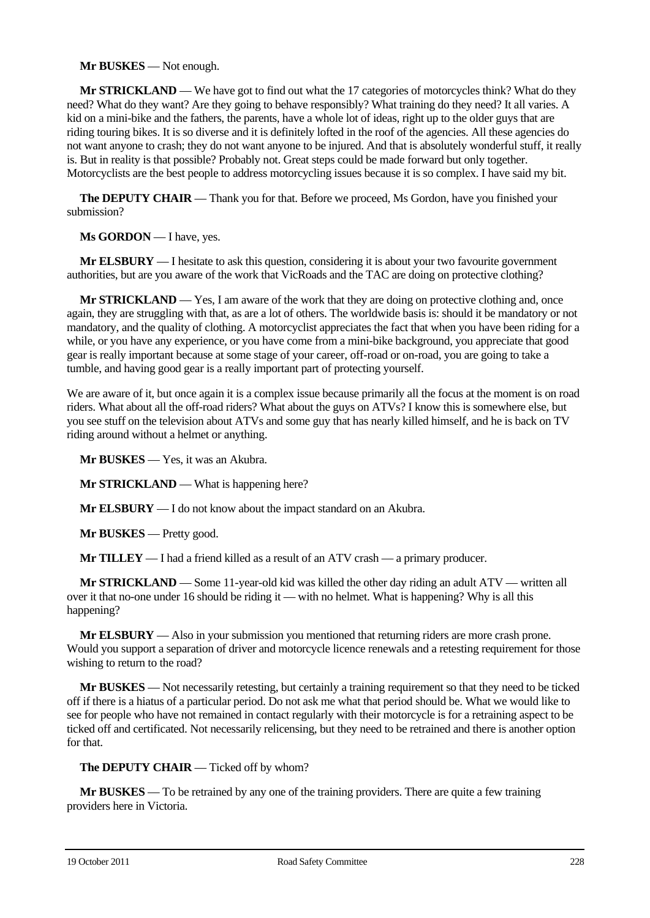## **Mr BUSKES** — Not enough.

**Mr STRICKLAND** — We have got to find out what the 17 categories of motorcycles think? What do they need? What do they want? Are they going to behave responsibly? What training do they need? It all varies. A kid on a mini-bike and the fathers, the parents, have a whole lot of ideas, right up to the older guys that are riding touring bikes. It is so diverse and it is definitely lofted in the roof of the agencies. All these agencies do not want anyone to crash; they do not want anyone to be injured. And that is absolutely wonderful stuff, it really is. But in reality is that possible? Probably not. Great steps could be made forward but only together. Motorcyclists are the best people to address motorcycling issues because it is so complex. I have said my bit.

**The DEPUTY CHAIR** — Thank you for that. Before we proceed, Ms Gordon, have you finished your submission?

**Ms GORDON** — I have, yes.

**Mr ELSBURY** — I hesitate to ask this question, considering it is about your two favourite government authorities, but are you aware of the work that VicRoads and the TAC are doing on protective clothing?

**Mr STRICKLAND** — Yes, I am aware of the work that they are doing on protective clothing and, once again, they are struggling with that, as are a lot of others. The worldwide basis is: should it be mandatory or not mandatory, and the quality of clothing. A motorcyclist appreciates the fact that when you have been riding for a while, or you have any experience, or you have come from a mini-bike background, you appreciate that good gear is really important because at some stage of your career, off-road or on-road, you are going to take a tumble, and having good gear is a really important part of protecting yourself.

We are aware of it, but once again it is a complex issue because primarily all the focus at the moment is on road riders. What about all the off-road riders? What about the guys on ATVs? I know this is somewhere else, but you see stuff on the television about ATVs and some guy that has nearly killed himself, and he is back on TV riding around without a helmet or anything.

**Mr BUSKES** — Yes, it was an Akubra.

**Mr STRICKLAND** — What is happening here?

**Mr ELSBURY** — I do not know about the impact standard on an Akubra.

**Mr BUSKES** — Pretty good.

**Mr TILLEY** — I had a friend killed as a result of an ATV crash — a primary producer.

**Mr STRICKLAND** — Some 11-year-old kid was killed the other day riding an adult ATV — written all over it that no-one under 16 should be riding it — with no helmet. What is happening? Why is all this happening?

**Mr ELSBURY** — Also in your submission you mentioned that returning riders are more crash prone. Would you support a separation of driver and motorcycle licence renewals and a retesting requirement for those wishing to return to the road?

**Mr BUSKES** — Not necessarily retesting, but certainly a training requirement so that they need to be ticked off if there is a hiatus of a particular period. Do not ask me what that period should be. What we would like to see for people who have not remained in contact regularly with their motorcycle is for a retraining aspect to be ticked off and certificated. Not necessarily relicensing, but they need to be retrained and there is another option for that.

## **The DEPUTY CHAIR** — Ticked off by whom?

**Mr BUSKES** — To be retrained by any one of the training providers. There are quite a few training providers here in Victoria.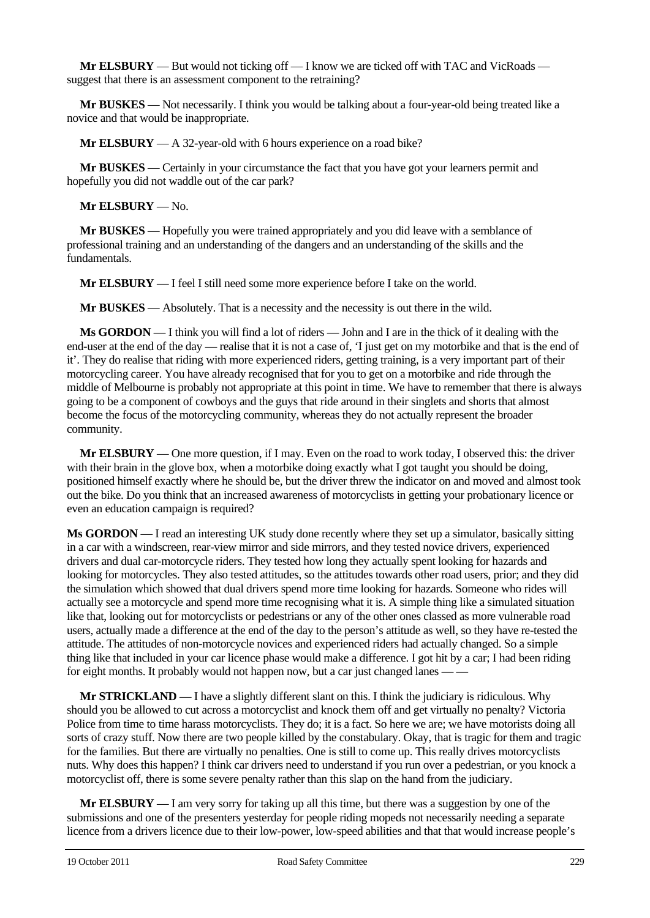**Mr ELSBURY** — But would not ticking off — I know we are ticked off with TAC and VicRoads suggest that there is an assessment component to the retraining?

**Mr BUSKES** — Not necessarily. I think you would be talking about a four-year-old being treated like a novice and that would be inappropriate.

**Mr ELSBURY** — A 32-year-old with 6 hours experience on a road bike?

**Mr BUSKES** — Certainly in your circumstance the fact that you have got your learners permit and hopefully you did not waddle out of the car park?

**Mr ELSBURY** — No.

**Mr BUSKES** — Hopefully you were trained appropriately and you did leave with a semblance of professional training and an understanding of the dangers and an understanding of the skills and the fundamentals.

**Mr ELSBURY** — I feel I still need some more experience before I take on the world.

**Mr BUSKES** — Absolutely. That is a necessity and the necessity is out there in the wild.

**Ms GORDON** — I think you will find a lot of riders — John and I are in the thick of it dealing with the end-user at the end of the day — realise that it is not a case of. T just get on my motorbike and that is the end of it'. They do realise that riding with more experienced riders, getting training, is a very important part of their motorcycling career. You have already recognised that for you to get on a motorbike and ride through the middle of Melbourne is probably not appropriate at this point in time. We have to remember that there is always going to be a component of cowboys and the guys that ride around in their singlets and shorts that almost become the focus of the motorcycling community, whereas they do not actually represent the broader community.

**Mr ELSBURY** — One more question, if I may. Even on the road to work today, I observed this: the driver with their brain in the glove box, when a motorbike doing exactly what I got taught you should be doing, positioned himself exactly where he should be, but the driver threw the indicator on and moved and almost took out the bike. Do you think that an increased awareness of motorcyclists in getting your probationary licence or even an education campaign is required?

**Ms GORDON** — I read an interesting UK study done recently where they set up a simulator, basically sitting in a car with a windscreen, rear-view mirror and side mirrors, and they tested novice drivers, experienced drivers and dual car-motorcycle riders. They tested how long they actually spent looking for hazards and looking for motorcycles. They also tested attitudes, so the attitudes towards other road users, prior; and they did the simulation which showed that dual drivers spend more time looking for hazards. Someone who rides will actually see a motorcycle and spend more time recognising what it is. A simple thing like a simulated situation like that, looking out for motorcyclists or pedestrians or any of the other ones classed as more vulnerable road users, actually made a difference at the end of the day to the person's attitude as well, so they have re-tested the attitude. The attitudes of non-motorcycle novices and experienced riders had actually changed. So a simple thing like that included in your car licence phase would make a difference. I got hit by a car; I had been riding for eight months. It probably would not happen now, but a car just changed lanes -

**Mr STRICKLAND** — I have a slightly different slant on this. I think the judiciary is ridiculous. Why should you be allowed to cut across a motorcyclist and knock them off and get virtually no penalty? Victoria Police from time to time harass motorcyclists. They do; it is a fact. So here we are; we have motorists doing all sorts of crazy stuff. Now there are two people killed by the constabulary. Okay, that is tragic for them and tragic for the families. But there are virtually no penalties. One is still to come up. This really drives motorcyclists nuts. Why does this happen? I think car drivers need to understand if you run over a pedestrian, or you knock a motorcyclist off, there is some severe penalty rather than this slap on the hand from the judiciary.

**Mr ELSBURY** — I am very sorry for taking up all this time, but there was a suggestion by one of the submissions and one of the presenters yesterday for people riding mopeds not necessarily needing a separate licence from a drivers licence due to their low-power, low-speed abilities and that that would increase people's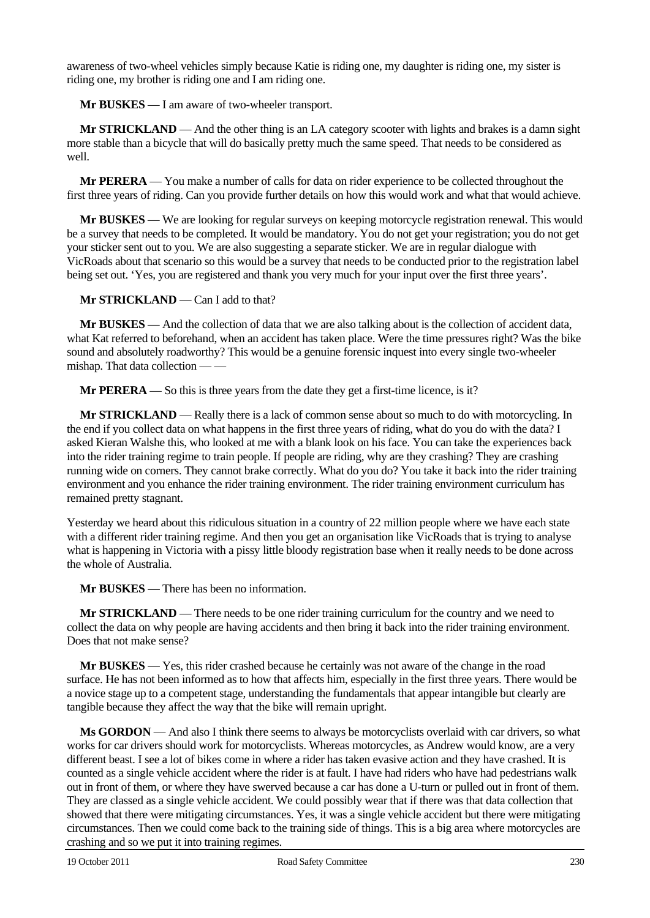awareness of two-wheel vehicles simply because Katie is riding one, my daughter is riding one, my sister is riding one, my brother is riding one and I am riding one.

**Mr BUSKES** — I am aware of two-wheeler transport.

**Mr STRICKLAND** — And the other thing is an LA category scooter with lights and brakes is a damn sight more stable than a bicycle that will do basically pretty much the same speed. That needs to be considered as well.

**Mr PERERA** — You make a number of calls for data on rider experience to be collected throughout the first three years of riding. Can you provide further details on how this would work and what that would achieve.

**Mr BUSKES** — We are looking for regular surveys on keeping motorcycle registration renewal. This would be a survey that needs to be completed. It would be mandatory. You do not get your registration; you do not get your sticker sent out to you. We are also suggesting a separate sticker. We are in regular dialogue with VicRoads about that scenario so this would be a survey that needs to be conducted prior to the registration label being set out. 'Yes, you are registered and thank you very much for your input over the first three years'.

**Mr STRICKLAND** — Can I add to that?

**Mr BUSKES** — And the collection of data that we are also talking about is the collection of accident data, what Kat referred to beforehand, when an accident has taken place. Were the time pressures right? Was the bike sound and absolutely roadworthy? This would be a genuine forensic inquest into every single two-wheeler mishap. That data collection — —

**Mr PERERA** — So this is three years from the date they get a first-time licence, is it?

**Mr STRICKLAND** — Really there is a lack of common sense about so much to do with motorcycling. In the end if you collect data on what happens in the first three years of riding, what do you do with the data? I asked Kieran Walshe this, who looked at me with a blank look on his face. You can take the experiences back into the rider training regime to train people. If people are riding, why are they crashing? They are crashing running wide on corners. They cannot brake correctly. What do you do? You take it back into the rider training environment and you enhance the rider training environment. The rider training environment curriculum has remained pretty stagnant.

Yesterday we heard about this ridiculous situation in a country of 22 million people where we have each state with a different rider training regime. And then you get an organisation like VicRoads that is trying to analyse what is happening in Victoria with a pissy little bloody registration base when it really needs to be done across the whole of Australia.

**Mr BUSKES** — There has been no information.

**Mr STRICKLAND** — There needs to be one rider training curriculum for the country and we need to collect the data on why people are having accidents and then bring it back into the rider training environment. Does that not make sense?

**Mr BUSKES** — Yes, this rider crashed because he certainly was not aware of the change in the road surface. He has not been informed as to how that affects him, especially in the first three years. There would be a novice stage up to a competent stage, understanding the fundamentals that appear intangible but clearly are tangible because they affect the way that the bike will remain upright.

**Ms GORDON** — And also I think there seems to always be motorcyclists overlaid with car drivers, so what works for car drivers should work for motorcyclists. Whereas motorcycles, as Andrew would know, are a very different beast. I see a lot of bikes come in where a rider has taken evasive action and they have crashed. It is counted as a single vehicle accident where the rider is at fault. I have had riders who have had pedestrians walk out in front of them, or where they have swerved because a car has done a U-turn or pulled out in front of them. They are classed as a single vehicle accident. We could possibly wear that if there was that data collection that showed that there were mitigating circumstances. Yes, it was a single vehicle accident but there were mitigating circumstances. Then we could come back to the training side of things. This is a big area where motorcycles are crashing and so we put it into training regimes.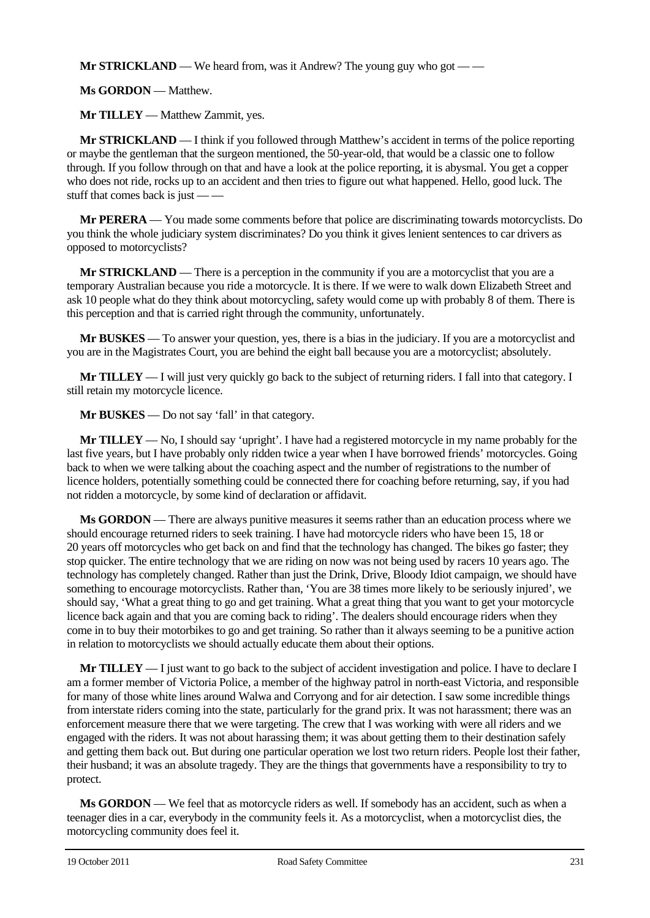**Mr STRICKLAND** — We heard from, was it Andrew? The young guy who got — —

**Ms GORDON** — Matthew.

**Mr TILLEY** — Matthew Zammit, yes.

**Mr STRICKLAND** — I think if you followed through Matthew's accident in terms of the police reporting or maybe the gentleman that the surgeon mentioned, the 50-year-old, that would be a classic one to follow through. If you follow through on that and have a look at the police reporting, it is abysmal. You get a copper who does not ride, rocks up to an accident and then tries to figure out what happened. Hello, good luck. The stuff that comes back is just — —

**Mr PERERA** — You made some comments before that police are discriminating towards motorcyclists. Do you think the whole judiciary system discriminates? Do you think it gives lenient sentences to car drivers as opposed to motorcyclists?

**Mr STRICKLAND** — There is a perception in the community if you are a motorcyclist that you are a temporary Australian because you ride a motorcycle. It is there. If we were to walk down Elizabeth Street and ask 10 people what do they think about motorcycling, safety would come up with probably 8 of them. There is this perception and that is carried right through the community, unfortunately.

**Mr BUSKES** — To answer your question, yes, there is a bias in the judiciary. If you are a motorcyclist and you are in the Magistrates Court, you are behind the eight ball because you are a motorcyclist; absolutely.

**Mr TILLEY** — I will just very quickly go back to the subject of returning riders. I fall into that category. I still retain my motorcycle licence.

**Mr BUSKES** — Do not say 'fall' in that category.

**Mr TILLEY** — No, I should say 'upright'. I have had a registered motorcycle in my name probably for the last five years, but I have probably only ridden twice a year when I have borrowed friends' motorcycles. Going back to when we were talking about the coaching aspect and the number of registrations to the number of licence holders, potentially something could be connected there for coaching before returning, say, if you had not ridden a motorcycle, by some kind of declaration or affidavit.

**Ms GORDON** — There are always punitive measures it seems rather than an education process where we should encourage returned riders to seek training. I have had motorcycle riders who have been 15, 18 or 20 years off motorcycles who get back on and find that the technology has changed. The bikes go faster; they stop quicker. The entire technology that we are riding on now was not being used by racers 10 years ago. The technology has completely changed. Rather than just the Drink, Drive, Bloody Idiot campaign, we should have something to encourage motorcyclists. Rather than, 'You are 38 times more likely to be seriously injured', we should say, 'What a great thing to go and get training. What a great thing that you want to get your motorcycle licence back again and that you are coming back to riding'. The dealers should encourage riders when they come in to buy their motorbikes to go and get training. So rather than it always seeming to be a punitive action in relation to motorcyclists we should actually educate them about their options.

**Mr TILLEY** — I just want to go back to the subject of accident investigation and police. I have to declare I am a former member of Victoria Police, a member of the highway patrol in north-east Victoria, and responsible for many of those white lines around Walwa and Corryong and for air detection. I saw some incredible things from interstate riders coming into the state, particularly for the grand prix. It was not harassment; there was an enforcement measure there that we were targeting. The crew that I was working with were all riders and we engaged with the riders. It was not about harassing them; it was about getting them to their destination safely and getting them back out. But during one particular operation we lost two return riders. People lost their father, their husband; it was an absolute tragedy. They are the things that governments have a responsibility to try to protect.

**Ms GORDON** — We feel that as motorcycle riders as well. If somebody has an accident, such as when a teenager dies in a car, everybody in the community feels it. As a motorcyclist, when a motorcyclist dies, the motorcycling community does feel it.